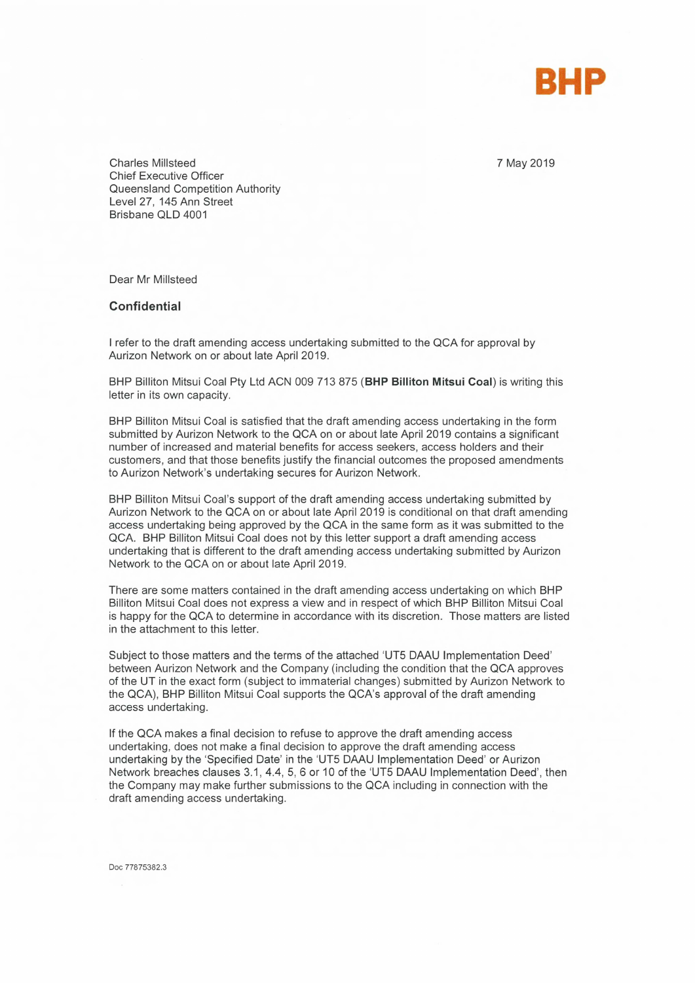

7 May 2019

Charles Millsteed Chief Executive Officer Queensland Competition Authority Level 27, 145 Ann Street Brisbane QLD 4001

Dear Mr Millsteed

## **Confidential**

I refer to the draft amending access undertaking submitted to the QCA for approval by Aurizon Network on or about late April 2019.

BHP Billiton Mitsui Coal Pty Ltd ACN 009 713 875 **(BHP Billiton Mitsui Coal)** is writing this letter in its own capacity.

BHP Billiton Mitsui Coal is satisfied that the draft amending access undertaking in the form submitted by Aurizon Network to the QCA on or about late April 2019 contains a significant number of increased and material benefits for access seekers, access holders and their customers, and that those benefits justify the financial outcomes the proposed amendments to Aurizon Network's undertaking secures for Aurizon Network.

BHP Billiton Mitsui Coal's support of the draft amending access undertaking submitted by Aurizon Network to the QCA on or about late April 2019 is conditional on that draft amending access undertaking being approved by the QCA in the same form as it was submitted to the QCA. BHP Billiton Mitsui Coal does not by this letter support a draft amending access undertaking that is different to the draft amending access undertaking submitted by Aurizon Network to the QCA on or about late April 2019.

There are some matters contained in the draft amending access undertaking on which BHP Billiton Mitsui Coal does not express a view and in respect of which BHP Billiton Mitsui Coal is happy for the QCA to determine in accordance with its discretion. Those matters are listed in the attachment to this letter.

Subject to those matters and the terms of the attached `UT5 DAAU Implementation Deed' between Aurizon Network and the Company (including the condition that the QCA approves of the UT in the exact form (subject to immaterial changes) submitted by Aurizon Network to the QCA), BHP Billiton Mitsui Coal supports the QCA's approval of the draft amending access undertaking.

If the QCA makes a final decision to refuse to approve the draft amending access undertaking, does not make a final decision to approve the draft amending access undertaking by the 'Specified Date' in the `UT5 DAAU Implementation Deed' or Aurizon Network breaches clauses 3.1, 4.4, 5, 6 or 10 of the UT5 DAAU Implementation Deed', then the Company may make further submissions to the QCA including in connection with the draft amending access undertaking.

Doc 77875382.3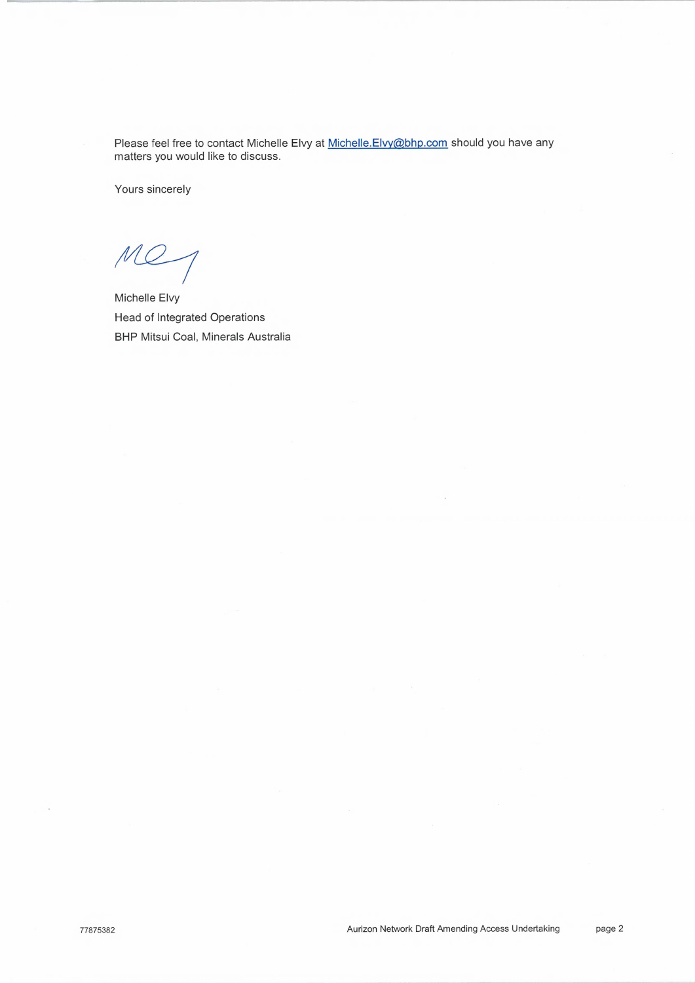Please feel free to contact Michelle Elvy at Michelle.Elvy@bhp.com should you have any matters you would like to discuss.

Yours sincerely

mes

Michelle Elvy Head of Integrated Operations **BHP** Mitsui Coal, Minerals Australia